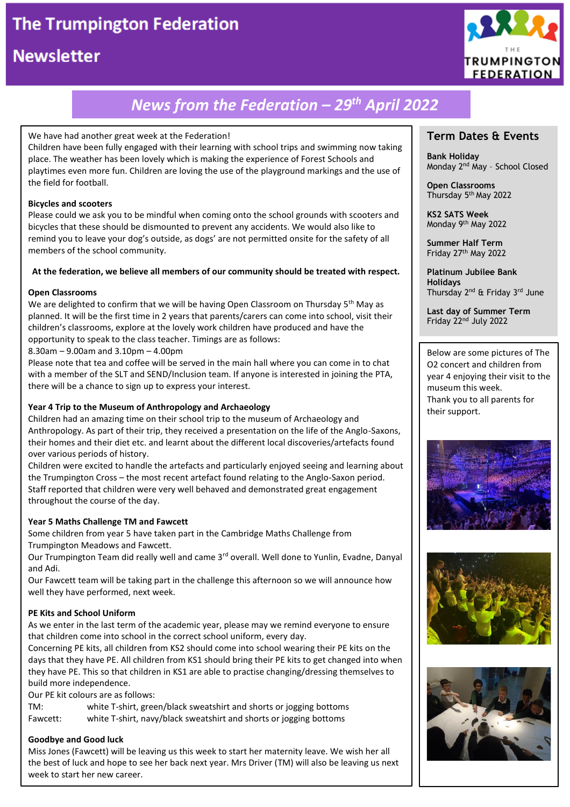# **The Trumpington Federation**

## **Newsletter**



# *News from the Federation – 29 th April 2022*

#### We have had another great week at the Federation!

Children have been fully engaged with their learning with school trips and swimming now taking place. The weather has been lovely which is making the experience of Forest Schools and playtimes even more fun. Children are loving the use of the playground markings and the use of the field for football.

#### **Bicycles and scooters**

Please could we ask you to be mindful when coming onto the school grounds with scooters and bicycles that these should be dismounted to prevent any accidents. We would also like to remind you to leave your dog's outside, as dogs' are not permitted onsite for the safety of all members of the school community.

#### **At the federation, we believe all members of our community should be treated with respect.**

#### **Open Classrooms**

We are delighted to confirm that we will be having Open Classroom on Thursday  $5<sup>th</sup>$  May as planned. It will be the first time in 2 years that parents/carers can come into school, visit their children's classrooms, explore at the lovely work children have produced and have the opportunity to speak to the class teacher. Timings are as follows:

8.30am – 9.00am and 3.10pm – 4.00pm

Please note that tea and coffee will be served in the main hall where you can come in to chat with a member of the SLT and SEND/Inclusion team. If anyone is interested in joining the PTA, there will be a chance to sign up to express your interest.

#### **Year 4 Trip to the Museum of Anthropology and Archaeology**

Children had an amazing time on their school trip to the museum of Archaeology and Anthropology. As part of their trip, they received a presentation on the life of the Anglo-Saxons, their homes and their diet etc. and learnt about the different local discoveries/artefacts found over various periods of history.

Children were excited to handle the artefacts and particularly enjoyed seeing and learning about the Trumpington Cross – the most recent artefact found relating to the Anglo-Saxon period. Staff reported that children were very well behaved and demonstrated great engagement throughout the course of the day.

#### **Year 5 Maths Challenge TM and Fawcett**

Some children from year 5 have taken part in the Cambridge Maths Challenge from Trumpington Meadows and Fawcett.

Our Trumpington Team did really well and came 3<sup>rd</sup> overall. Well done to Yunlin, Evadne, Danyal and Adi.

Our Fawcett team will be taking part in the challenge this afternoon so we will announce how well they have performed, next week.

#### **PE Kits and School Uniform**

As we enter in the last term of the academic year, please may we remind everyone to ensure that children come into school in the correct school uniform, every day.

Concerning PE kits, all children from KS2 should come into school wearing their PE kits on the days that they have PE. All children from KS1 should bring their PE kits to get changed into when they have PE. This so that children in KS1 are able to practise changing/dressing themselves to build more independence.

Our PE kit colours are as follows:

TM: white T-shirt, green/black sweatshirt and shorts or jogging bottoms Fawcett: white T-shirt, navy/black sweatshirt and shorts or jogging bottoms

#### **Goodbye and Good luck**

Miss Jones (Fawcett) will be leaving us this week to start her maternity leave. We wish her all the best of luck and hope to see her back next year. Mrs Driver (TM) will also be leaving us next week to start her new career.

### **Term Dates & Events**

**Bank Holiday** Monday 2nd May – School Closed

**Open Classrooms** Thursday 5th May 2022

**KS2 SATS Week** Monday 9th May 2022

**Summer Half Term** Friday 27th May 2022

**Platinum Jubilee Bank Holidays** Thursday 2<sup>nd</sup> & Friday 3<sup>rd</sup> June

**Last day of Summer Term** Friday 22nd July 2022

Below are some pictures of The O2 concert and children from year 4 enjoying their visit to the museum this week. Thank you to all parents for their support.